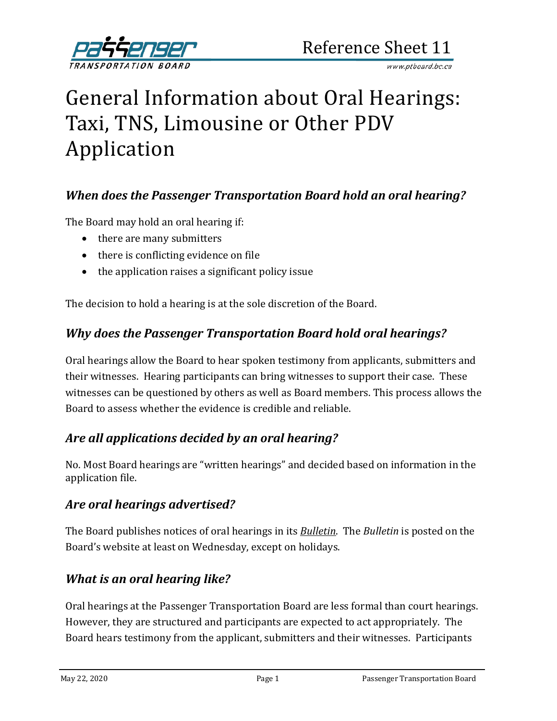

# General Information about Oral Hearings: Taxi, TNS, Limousine or Other PDV Application

#### *When does the Passenger Transportation Board hold an oral hearing?*

The Board may hold an oral hearing if:

- there are many submitters
- there is conflicting evidence on file
- the application raises a significant policy issue

The decision to hold a hearing is at the sole discretion of the Board.

#### *Why does the Passenger Transportation Board hold oral hearings?*

Oral hearings allow the Board to hear spoken testimony from applicants, submitters and their witnesses. Hearing participants can bring witnesses to support their case. These witnesses can be questioned by others as well as Board members. This process allows the Board to assess whether the evidence is credible and reliable.

#### *Are all applications decided by an oral hearing?*

No. Most Board hearings are "written hearings" and decided based on information in the application file.

#### *Are oral hearings advertised?*

The Board publishes notices of oral hearings in its *[Bulletin](http://www.th.gov.bc.ca/ptb/bulletins.htm)*. The *Bulletin* is posted on the Board's website at least on Wednesday, except on holidays.

#### *What is an oral hearing like?*

Oral hearings at the Passenger Transportation Board are less formal than court hearings. However, they are structured and participants are expected to act appropriately. The Board hears testimony from the applicant, submitters and their witnesses. Participants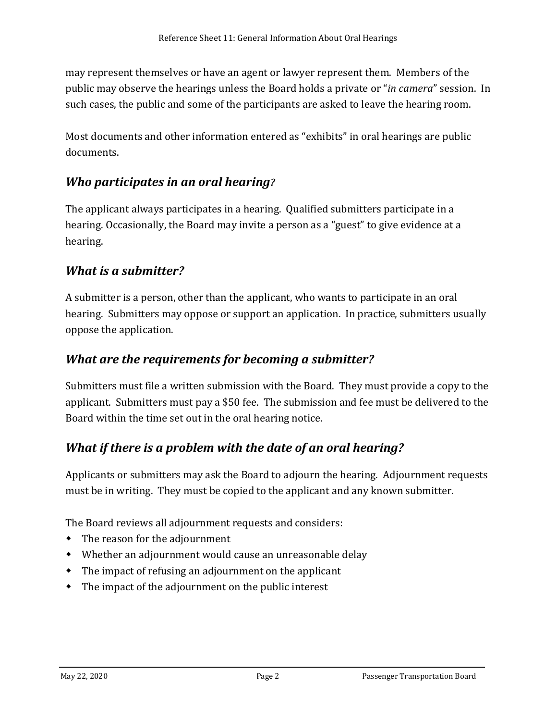may represent themselves or have an agent or lawyer represent them. Members of the public may observe the hearings unless the Board holds a private or "*in camera*" session. In such cases, the public and some of the participants are asked to leave the hearing room.

Most documents and other information entered as "exhibits" in oral hearings are public documents.

# *Who participates in an oral hearing?*

The applicant always participates in a hearing. Qualified submitters participate in a hearing. Occasionally, the Board may invite a person as a "guest" to give evidence at a hearing.

# *What is a submitter?*

A submitter is a person, other than the applicant, who wants to participate in an oral hearing. Submitters may oppose or support an application. In practice, submitters usually oppose the application.

#### *What are the requirements for becoming a submitter?*

Submitters must file a written submission with the Board. They must provide a copy to the applicant. Submitters must pay a \$50 fee. The submission and fee must be delivered to the Board within the time set out in the oral hearing notice.

# *What if there is a problem with the date of an oral hearing?*

Applicants or submitters may ask the Board to adjourn the hearing. Adjournment requests must be in writing. They must be copied to the applicant and any known submitter.

The Board reviews all adjournment requests and considers:

- The reason for the adjournment
- Whether an adjournment would cause an unreasonable delay
- The impact of refusing an adjournment on the applicant
- The impact of the adjournment on the public interest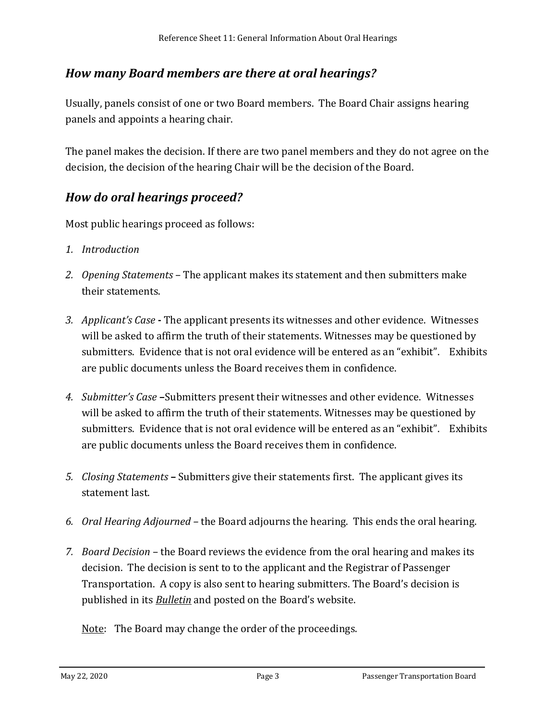# *How many Board members are there at oral hearings?*

Usually, panels consist of one or two Board members. The Board Chair assigns hearing panels and appoints a hearing chair.

The panel makes the decision. If there are two panel members and they do not agree on the decision, the decision of the hearing Chair will be the decision of the Board.

# *How do oral hearings proceed?*

Most public hearings proceed as follows:

- *1. Introduction*
- *2. Opening Statements*  The applicant makes its statement and then submitters make their statements.
- *3. Applicant's Case* **-** The applicant presents its witnesses and other evidence. Witnesses will be asked to affirm the truth of their statements. Witnesses may be questioned by submitters. Evidence that is not oral evidence will be entered as an "exhibit". Exhibits are public documents unless the Board receives them in confidence.
- *4. Submitter's Case* **–**Submitters present their witnesses and other evidence. Witnesses will be asked to affirm the truth of their statements. Witnesses may be questioned by submitters. Evidence that is not oral evidence will be entered as an "exhibit". Exhibits are public documents unless the Board receives them in confidence.
- *5. Closing Statements* **–** Submitters give their statements first. The applicant gives its statement last.
- *6. Oral Hearing Adjourned –* the Board adjourns the hearing. This ends the oral hearing.
- *7. Board Decision* the Board reviews the evidence from the oral hearing and makes its decision. The decision is sent to to the applicant and the Registrar of Passenger Transportation. A copy is also sent to hearing submitters. The Board's decision is published in its *[Bulletin](http://www.th.gov.bc.ca/ptb/bulletins.htm)* and posted on the Board's website.

Note: The Board may change the order of the proceedings.